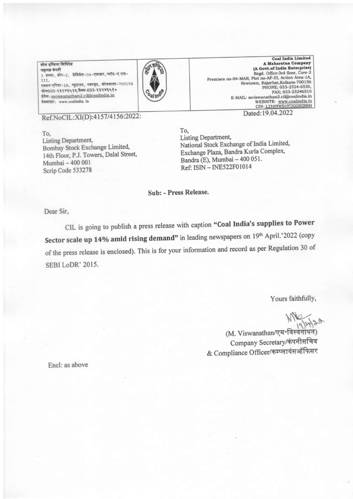<u>कोल इण्डिया लिमिटेड</u> महारब कंपनी 3 तल्ला, कोर-2, प्रेमिसेस-04-एमआर, प्लॉट-ए एफ-III, एक्शन एरिया-1A, न्यूटाउन, रजरहट, कोलकाता-700156 फोन033-२३२४६५२६, फैक्स-033-२३२४६५१० ईमेल: mviswanathan2.cil@coalindia.in वेबसाइट: www.coalindia. In



**Coal India Limited** A Maharatna Company (A Govt.of India Enterprise) Regd. Office:3rd floor, Core-2 Premises no-04-MAR, Plot no-AF-III, Action Area-1A,<br>Newtown, Rajarhat, Kolkata-700156 PHONE; 033-2324-6526, FAX; 033-23246510 E-MAIL: mviswanathan2.cil@coalindia.in WEBSITE: www.coalindia.in CIN-123109WB1973GOI028844 Dated:19.04.2022

Ref.NoCIL:XI(D):4157/4156:2022:

To. **Listing Department,** Bombay Stock Exchange Limited, 14th Floor, P.J. Towers, Dalal Street, Mumbai - 400 001 Scrip Code 533278

To. Listing Department, National Stock Exchange of India Limited, Exchange Plaza, Bandra Kurla Complex, Bandra (E), Mumbai - 400 051. Ref: ISIN - INE522F01014

Sub: - Press Release.

Dear Sir,

CIL is going to publish a press release with caption "Coal India's supplies to Power Sector scale up 14% amid rising demand" in leading newspapers on 19th April.'2022 (copy of the press release is enclosed). This is for your information and record as per Regulation 30 of SEBILODR' 2015.

Yours faithfully,

(M. Viswanathan/एम॰विस्वनाथन) Company Secretary/कंपनीसचिव & Compliance Officer/कम्प्लायंसऑफिसर

Encl: as above